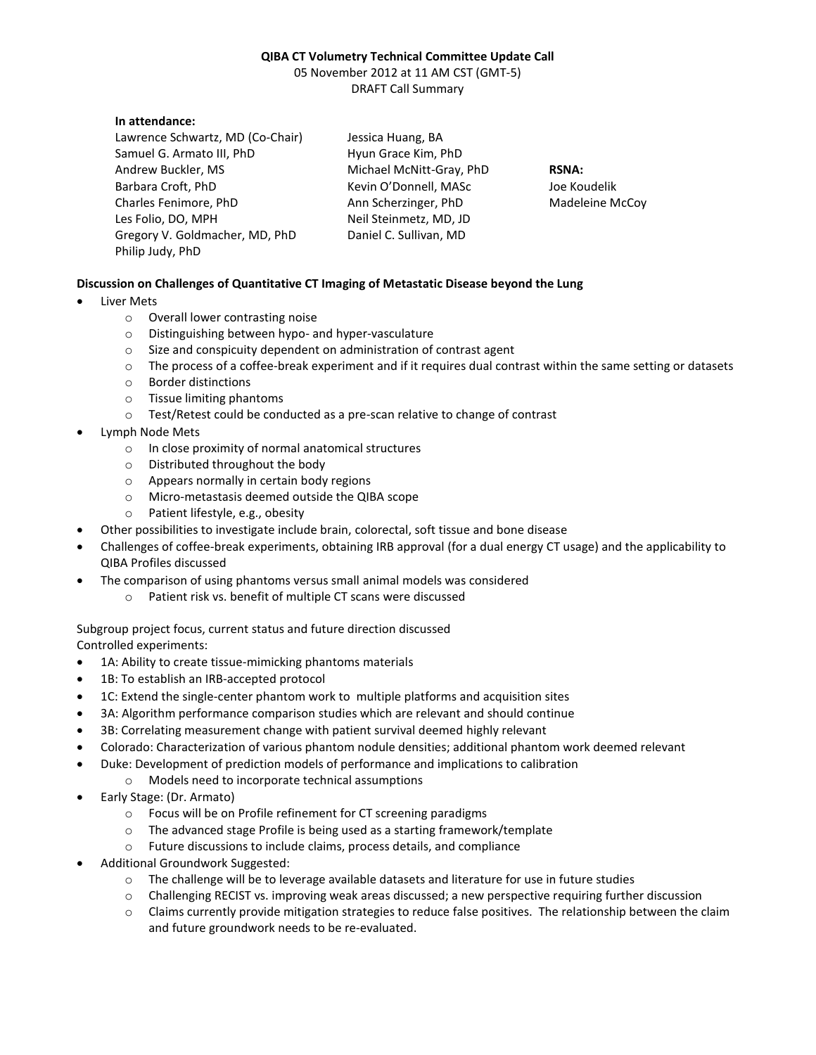## **QIBA CT Volumetry Technical Committee Update Call**

05 November 2012 at 11 AM CST (GMT-5) DRAFT Call Summary

## **In attendance:**

Lawrence Schwartz, MD (Co-Chair) Samuel G. Armato III, PhD Andrew Buckler, MS Barbara Croft, PhD Charles Fenimore, PhD Les Folio, DO, MPH Gregory V. Goldmacher, MD, PhD Philip Judy, PhD

Jessica Huang, BA Hyun Grace Kim, PhD Michael McNitt-Gray, PhD Kevin O'Donnell, MASc Ann Scherzinger, PhD Neil Steinmetz, MD, JD Daniel C. Sullivan, MD

**RSNA:** Joe Koudelik Madeleine McCoy

## **Discussion on Challenges of Quantitative CT Imaging of Metastatic Disease beyond the Lung**

- Liver Mets
	- o Overall lower contrasting noise
	- o Distinguishing between hypo- and hyper-vasculature
	- o Size and conspicuity dependent on administration of contrast agent
	- o The process of a coffee-break experiment and if it requires dual contrast within the same setting or datasets
	- o Border distinctions
	- o Tissue limiting phantoms
	- o Test/Retest could be conducted as a pre-scan relative to change of contrast
- Lymph Node Mets
	- o In close proximity of normal anatomical structures
	- o Distributed throughout the body
	- o Appears normally in certain body regions
	- o Micro-metastasis deemed outside the QIBA scope
	- o Patient lifestyle, e.g., obesity
- Other possibilities to investigate include brain, colorectal, soft tissue and bone disease
- Challenges of coffee-break experiments, obtaining IRB approval (for a dual energy CT usage) and the applicability to QIBA Profiles discussed
- The comparison of using phantoms versus small animal models was considered
	- o Patient risk vs. benefit of multiple CT scans were discussed

Subgroup project focus, current status and future direction discussed

Controlled experiments:

- 1A: Ability to create tissue-mimicking phantoms materials
- 1B: To establish an IRB-accepted protocol
- 1C: Extend the single-center phantom work to multiple platforms and acquisition sites
- 3A: Algorithm performance comparison studies which are relevant and should continue
- 3B: Correlating measurement change with patient survival deemed highly relevant
- Colorado: Characterization of various phantom nodule densities; additional phantom work deemed relevant
- Duke: Development of prediction models of performance and implications to calibration
	- o Models need to incorporate technical assumptions
- Early Stage: (Dr. Armato)
	- o Focus will be on Profile refinement for CT screening paradigms
	- o The advanced stage Profile is being used as a starting framework/template
	- o Future discussions to include claims, process details, and compliance
- Additional Groundwork Suggested:
	- o The challenge will be to leverage available datasets and literature for use in future studies
	- o Challenging RECIST vs. improving weak areas discussed; a new perspective requiring further discussion
	- o Claims currently provide mitigation strategies to reduce false positives. The relationship between the claim and future groundwork needs to be re-evaluated.